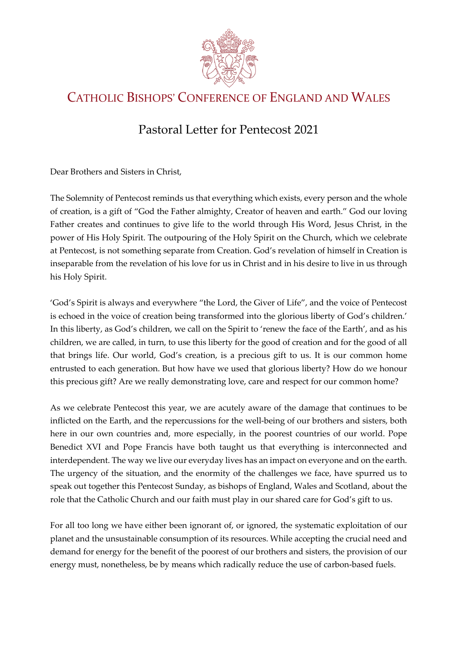

## CATHOLIC BISHOPS' CONFERENCE OF ENGLAND AND WALES

## Pastoral Letter for Pentecost 2021

Dear Brothers and Sisters in Christ,

The Solemnity of Pentecost reminds us that everything which exists, every person and the whole of creation, is a gift of "God the Father almighty, Creator of heaven and earth." God our loving Father creates and continues to give life to the world through His Word, Jesus Christ, in the power of His Holy Spirit. The outpouring of the Holy Spirit on the Church, which we celebrate at Pentecost, is not something separate from Creation. God's revelation of himself in Creation is inseparable from the revelation of his love for us in Christ and in his desire to live in us through his Holy Spirit.

'God's Spirit is always and everywhere "the Lord, the Giver of Life", and the voice of Pentecost is echoed in the voice of creation being transformed into the glorious liberty of God's children.' In this liberty, as God's children, we call on the Spirit to 'renew the face of the Earth', and as his children, we are called, in turn, to use this liberty for the good of creation and for the good of all that brings life. Our world, God's creation, is a precious gift to us. It is our common home entrusted to each generation. But how have we used that glorious liberty? How do we honour this precious gift? Are we really demonstrating love, care and respect for our common home?

As we celebrate Pentecost this year, we are acutely aware of the damage that continues to be inflicted on the Earth, and the repercussions for the well-being of our brothers and sisters, both here in our own countries and, more especially, in the poorest countries of our world. Pope Benedict XVI and Pope Francis have both taught us that everything is interconnected and interdependent. The way we live our everyday lives has an impact on everyone and on the earth. The urgency of the situation, and the enormity of the challenges we face, have spurred us to speak out together this Pentecost Sunday, as bishops of England, Wales and Scotland, about the role that the Catholic Church and our faith must play in our shared care for God's gift to us.

For all too long we have either been ignorant of, or ignored, the systematic exploitation of our planet and the unsustainable consumption of its resources. While accepting the crucial need and demand for energy for the benefit of the poorest of our brothers and sisters, the provision of our energy must, nonetheless, be by means which radically reduce the use of carbon-based fuels.